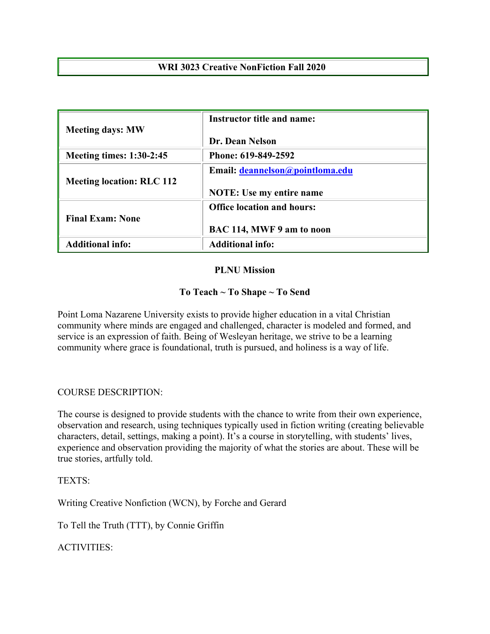# **WRI 3023 Creative NonFiction Fall 2020**

| <b>Meeting days: MW</b>          | <b>Instructor title and name:</b> |  |  |
|----------------------------------|-----------------------------------|--|--|
|                                  | Dr. Dean Nelson                   |  |  |
| <b>Meeting times: 1:30-2:45</b>  | Phone: 619-849-2592               |  |  |
| <b>Meeting location: RLC 112</b> | Email: deannelson@pointloma.edu   |  |  |
|                                  | <b>NOTE:</b> Use my entire name   |  |  |
| <b>Final Exam: None</b>          | <b>Office location and hours:</b> |  |  |
|                                  | BAC 114, MWF 9 am to noon         |  |  |
| <b>Additional info:</b>          | <b>Additional info:</b>           |  |  |

### **PLNU Mission**

# **To Teach ~ To Shape ~ To Send**

Point Loma Nazarene University exists to provide higher education in a vital Christian community where minds are engaged and challenged, character is modeled and formed, and service is an expression of faith. Being of Wesleyan heritage, we strive to be a learning community where grace is foundational, truth is pursued, and holiness is a way of life.

# COURSE DESCRIPTION:

The course is designed to provide students with the chance to write from their own experience, observation and research, using techniques typically used in fiction writing (creating believable characters, detail, settings, making a point). It's a course in storytelling, with students' lives, experience and observation providing the majority of what the stories are about. These will be true stories, artfully told.

TEXTS:

Writing Creative Nonfiction (WCN), by Forche and Gerard

To Tell the Truth (TTT), by Connie Griffin

ACTIVITIES: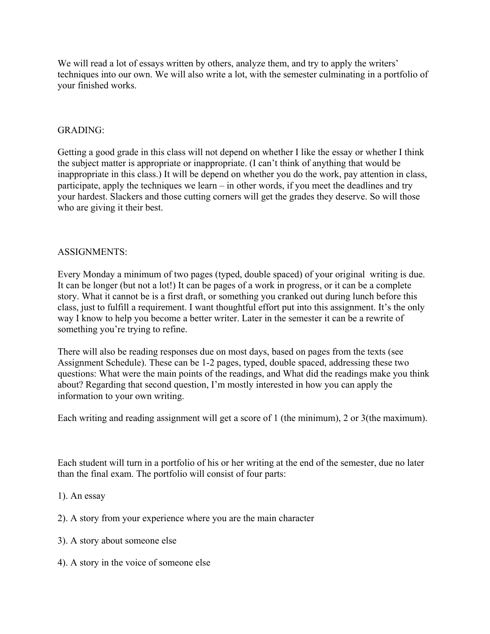We will read a lot of essays written by others, analyze them, and try to apply the writers' techniques into our own. We will also write a lot, with the semester culminating in a portfolio of your finished works.

### GRADING:

Getting a good grade in this class will not depend on whether I like the essay or whether I think the subject matter is appropriate or inappropriate. (I can't think of anything that would be inappropriate in this class.) It will be depend on whether you do the work, pay attention in class, participate, apply the techniques we learn – in other words, if you meet the deadlines and try your hardest. Slackers and those cutting corners will get the grades they deserve. So will those who are giving it their best.

### ASSIGNMENTS:

Every Monday a minimum of two pages (typed, double spaced) of your original writing is due. It can be longer (but not a lot!) It can be pages of a work in progress, or it can be a complete story. What it cannot be is a first draft, or something you cranked out during lunch before this class, just to fulfill a requirement. I want thoughtful effort put into this assignment. It's the only way I know to help you become a better writer. Later in the semester it can be a rewrite of something you're trying to refine.

There will also be reading responses due on most days, based on pages from the texts (see Assignment Schedule). These can be 1-2 pages, typed, double spaced, addressing these two questions: What were the main points of the readings, and What did the readings make you think about? Regarding that second question, I'm mostly interested in how you can apply the information to your own writing.

Each writing and reading assignment will get a score of 1 (the minimum), 2 or 3(the maximum).

Each student will turn in a portfolio of his or her writing at the end of the semester, due no later than the final exam. The portfolio will consist of four parts:

- 1). An essay
- 2). A story from your experience where you are the main character
- 3). A story about someone else
- 4). A story in the voice of someone else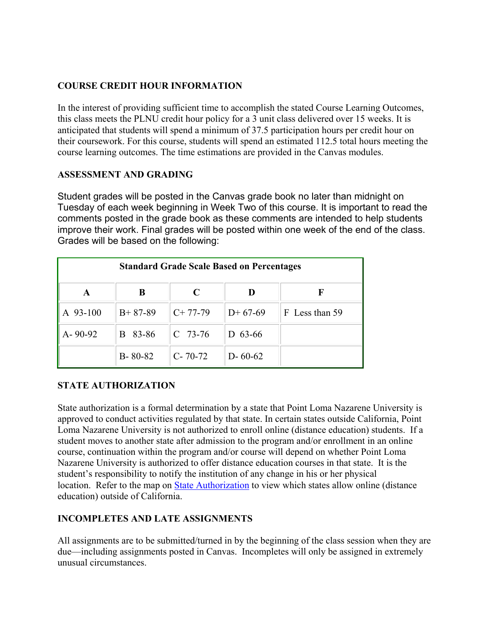# **COURSE CREDIT HOUR INFORMATION**

In the interest of providing sufficient time to accomplish the stated Course Learning Outcomes, this class meets the PLNU credit hour policy for a 3 unit class delivered over 15 weeks. It is anticipated that students will spend a minimum of 37.5 participation hours per credit hour on their coursework. For this course, students will spend an estimated 112.5 total hours meeting the course learning outcomes. The time estimations are provided in the Canvas modules.

### **ASSESSMENT AND GRADING**

Student grades will be posted in the Canvas grade book no later than midnight on Tuesday of each week beginning in Week Two of this course. It is important to read the comments posted in the grade book as these comments are intended to help students improve their work. Final grades will be posted within one week of the end of the class. Grades will be based on the following:

| <b>Standard Grade Scale Based on Percentages</b> |               |               |               |                |  |
|--------------------------------------------------|---------------|---------------|---------------|----------------|--|
| A                                                | B             | C             |               | F              |  |
| A 93-100                                         | $B+87-89$     | $C+77-79$     | $D+67-69$     | F Less than 59 |  |
| $A - 90 - 92$                                    | B 83-86       | $C$ 73-76     | D $63-66$     |                |  |
|                                                  | $B - 80 - 82$ | $C - 70 - 72$ | $D - 60 - 62$ |                |  |

# **STATE AUTHORIZATION**

State authorization is a formal determination by a state that Point Loma Nazarene University is approved to conduct activities regulated by that state. In certain states outside California, Point Loma Nazarene University is not authorized to enroll online (distance education) students. If a student moves to another state after admission to the program and/or enrollment in an online course, continuation within the program and/or course will depend on whether Point Loma Nazarene University is authorized to offer distance education courses in that state. It is the student's responsibility to notify the institution of any change in his or her physical location. Refer to the map on [State Authorization](https://www.pointloma.edu/offices/office-institutional-effectiveness-research/disclosures) to view which states allow online (distance education) outside of California.

# **INCOMPLETES AND LATE ASSIGNMENTS**

All assignments are to be submitted/turned in by the beginning of the class session when they are due—including assignments posted in Canvas. Incompletes will only be assigned in extremely unusual circumstances.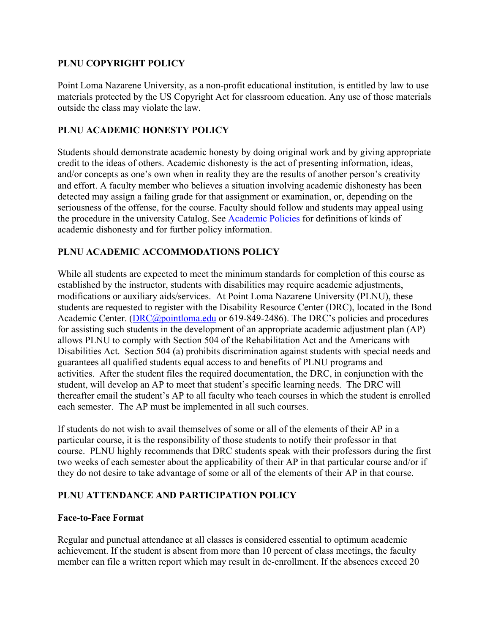# **PLNU COPYRIGHT POLICY**

Point Loma Nazarene University, as a non-profit educational institution, is entitled by law to use materials protected by the US Copyright Act for classroom education. Any use of those materials outside the class may violate the law.

### **PLNU ACADEMIC HONESTY POLICY**

Students should demonstrate academic honesty by doing original work and by giving appropriate credit to the ideas of others. Academic dishonesty is the act of presenting information, ideas, and/or concepts as one's own when in reality they are the results of another person's creativity and effort. A faculty member who believes a situation involving academic dishonesty has been detected may assign a failing grade for that assignment or examination, or, depending on the seriousness of the offense, for the course. Faculty should follow and students may appeal using the procedure in the university Catalog. See [Academic Policies](http://catalog.pointloma.edu/content.php?catoid=18&navoid=1278) for definitions of kinds of academic dishonesty and for further policy information.

# **PLNU ACADEMIC ACCOMMODATIONS POLICY**

While all students are expected to meet the minimum standards for completion of this course as established by the instructor, students with disabilities may require academic adjustments, modifications or auxiliary aids/services. At Point Loma Nazarene University (PLNU), these students are requested to register with the Disability Resource Center (DRC), located in the Bond Academic Center. [\(DRC@pointloma.edu](mailto:DRC@pointloma.edu) or 619-849-2486). The DRC's policies and procedures for assisting such students in the development of an appropriate academic adjustment plan (AP) allows PLNU to comply with Section 504 of the Rehabilitation Act and the Americans with Disabilities Act. Section 504 (a) prohibits discrimination against students with special needs and guarantees all qualified students equal access to and benefits of PLNU programs and activities. After the student files the required documentation, the DRC, in conjunction with the student, will develop an AP to meet that student's specific learning needs. The DRC will thereafter email the student's AP to all faculty who teach courses in which the student is enrolled each semester. The AP must be implemented in all such courses.

If students do not wish to avail themselves of some or all of the elements of their AP in a particular course, it is the responsibility of those students to notify their professor in that course. PLNU highly recommends that DRC students speak with their professors during the first two weeks of each semester about the applicability of their AP in that particular course and/or if they do not desire to take advantage of some or all of the elements of their AP in that course.

# **PLNU ATTENDANCE AND PARTICIPATION POLICY**

### **Face-to-Face Format**

Regular and punctual attendance at all classes is considered essential to optimum academic achievement. If the student is absent from more than 10 percent of class meetings, the faculty member can file a written report which may result in de-enrollment. If the absences exceed 20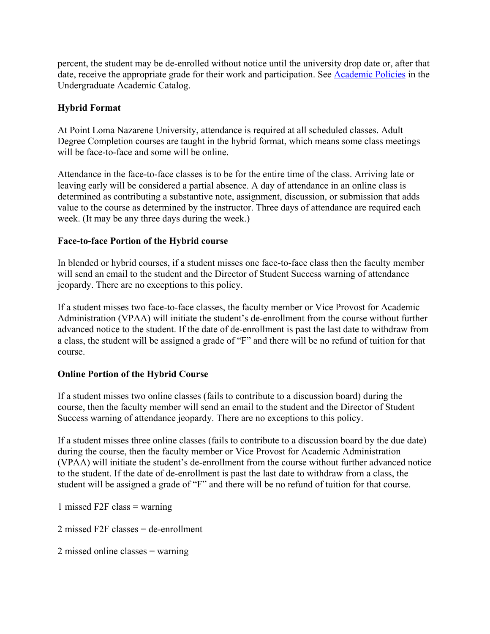percent, the student may be de-enrolled without notice until the university drop date or, after that date, receive the appropriate grade for their work and participation. See [Academic Policies](http://catalog.pointloma.edu/content.php?catoid=18&navoid=1278) in the Undergraduate Academic Catalog.

# **Hybrid Format**

At Point Loma Nazarene University, attendance is required at all scheduled classes. Adult Degree Completion courses are taught in the hybrid format, which means some class meetings will be face-to-face and some will be online.

Attendance in the face-to-face classes is to be for the entire time of the class. Arriving late or leaving early will be considered a partial absence. A day of attendance in an online class is determined as contributing a substantive note, assignment, discussion, or submission that adds value to the course as determined by the instructor. Three days of attendance are required each week. (It may be any three days during the week.)

# **Face-to-face Portion of the Hybrid course**

In blended or hybrid courses, if a student misses one face-to-face class then the faculty member will send an email to the student and the Director of Student Success warning of attendance jeopardy. There are no exceptions to this policy.

If a student misses two face-to-face classes, the faculty member or Vice Provost for Academic Administration (VPAA) will initiate the student's de-enrollment from the course without further advanced notice to the student. If the date of de-enrollment is past the last date to withdraw from a class, the student will be assigned a grade of "F" and there will be no refund of tuition for that course.

# **Online Portion of the Hybrid Course**

If a student misses two online classes (fails to contribute to a discussion board) during the course, then the faculty member will send an email to the student and the Director of Student Success warning of attendance jeopardy. There are no exceptions to this policy.

If a student misses three online classes (fails to contribute to a discussion board by the due date) during the course, then the faculty member or Vice Provost for Academic Administration (VPAA) will initiate the student's de-enrollment from the course without further advanced notice to the student. If the date of de-enrollment is past the last date to withdraw from a class, the student will be assigned a grade of "F" and there will be no refund of tuition for that course.

1 missed F2F class  $=$  warning

2 missed F2F classes  $=$  de-enrollment

2 missed online classes = warning